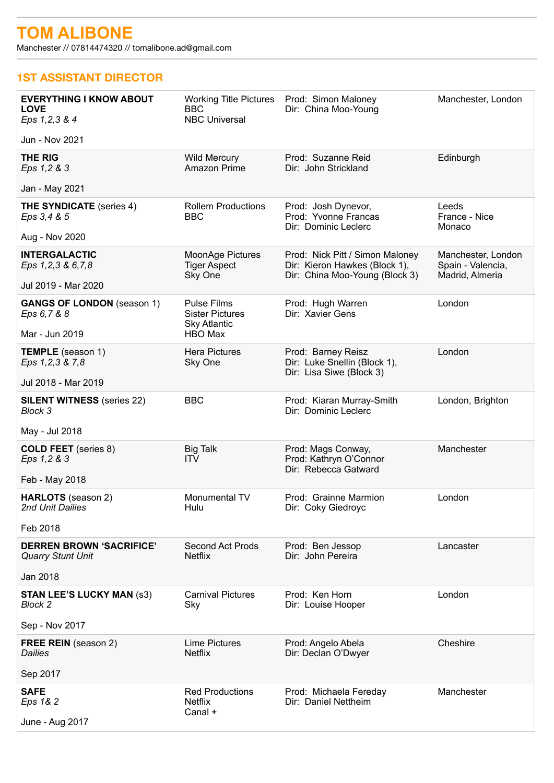Manchester // 07814474320 // tomalibone.ad@gmail.com

## **1ST ASSISTANT DIRECTOR**

| <b>EVERYTHING I KNOW ABOUT</b><br><b>LOVE</b><br>Eps 1, 2, 3 & 4   | <b>Working Title Pictures</b><br><b>BBC</b><br><b>NBC Universal</b>            | Prod: Simon Maloney<br>Dir: China Moo-Young                                                        | Manchester, London                                         |
|--------------------------------------------------------------------|--------------------------------------------------------------------------------|----------------------------------------------------------------------------------------------------|------------------------------------------------------------|
| Jun - Nov 2021                                                     |                                                                                |                                                                                                    |                                                            |
| <b>THE RIG</b><br>Eps 1,2 & 3                                      | <b>Wild Mercury</b><br>Amazon Prime                                            | Prod: Suzanne Reid<br>Dir: John Strickland                                                         | Edinburgh                                                  |
| Jan - May 2021                                                     |                                                                                |                                                                                                    |                                                            |
| <b>THE SYNDICATE</b> (series 4)<br>Eps 3,4 & 5                     | <b>Rollem Productions</b><br><b>BBC</b>                                        | Prod: Josh Dynevor,<br>Prod: Yvonne Francas<br>Dir: Dominic Leclerc                                | Leeds<br>France - Nice<br>Monaco                           |
| Aug - Nov 2020                                                     |                                                                                |                                                                                                    |                                                            |
| <b>INTERGALACTIC</b><br>Eps 1,2,3 & 6,7,8                          | MoonAge Pictures<br><b>Tiger Aspect</b><br>Sky One                             | Prod: Nick Pitt / Simon Maloney<br>Dir: Kieron Hawkes (Block 1),<br>Dir: China Moo-Young (Block 3) | Manchester, London<br>Spain - Valencia,<br>Madrid, Almeria |
| Jul 2019 - Mar 2020                                                |                                                                                |                                                                                                    |                                                            |
| <b>GANGS OF LONDON</b> (season 1)<br>Eps 6,7 & 8<br>Mar - Jun 2019 | <b>Pulse Films</b><br><b>Sister Pictures</b><br><b>Sky Atlantic</b><br>HBO Max | Prod: Hugh Warren<br>Dir: Xavier Gens                                                              | London                                                     |
|                                                                    | <b>Hera Pictures</b>                                                           |                                                                                                    | London                                                     |
| <b>TEMPLE</b> (season 1)<br>Eps 1,2,3 & 7,8<br>Jul 2018 - Mar 2019 | Sky One                                                                        | Prod: Barney Reisz<br>Dir: Luke Snellin (Block 1),<br>Dir: Lisa Siwe (Block 3)                     |                                                            |
|                                                                    |                                                                                |                                                                                                    |                                                            |
| <b>SILENT WITNESS (series 22)</b><br><b>Block 3</b>                | <b>BBC</b>                                                                     | Prod: Kiaran Murray-Smith<br>Dir: Dominic Leclerc                                                  | London, Brighton                                           |
| May - Jul 2018                                                     |                                                                                |                                                                                                    |                                                            |
| <b>COLD FEET</b> (series 8)<br>Eps 1,2 & 3                         | <b>Big Talk</b><br><b>ITV</b>                                                  | Prod: Mags Conway,<br>Prod: Kathryn O'Connor<br>Dir: Rebecca Gatward                               | Manchester                                                 |
| Feb - May 2018                                                     |                                                                                |                                                                                                    |                                                            |
| HARLOTS (season 2)<br>2nd Unit Dailies                             | Monumental TV<br>Hulu                                                          | Prod: Grainne Marmion<br>Dir: Coky Giedroyc                                                        | London                                                     |
| Feb 2018                                                           |                                                                                |                                                                                                    |                                                            |
| <b>DERREN BROWN 'SACRIFICE'</b><br>Quarry Stunt Unit               | <b>Second Act Prods</b><br><b>Netflix</b>                                      | Prod: Ben Jessop<br>Dir: John Pereira                                                              | Lancaster                                                  |
| Jan 2018                                                           |                                                                                |                                                                                                    |                                                            |
| <b>STAN LEE'S LUCKY MAN (S3)</b><br>Block 2                        | <b>Carnival Pictures</b><br>Sky                                                | Prod: Ken Horn<br>Dir: Louise Hooper                                                               | London                                                     |
| Sep - Nov 2017                                                     |                                                                                |                                                                                                    |                                                            |
| FREE REIN (season 2)<br><b>Dailies</b>                             | <b>Lime Pictures</b><br><b>Netflix</b>                                         | Prod: Angelo Abela<br>Dir: Declan O'Dwyer                                                          | Cheshire                                                   |
| Sep 2017                                                           |                                                                                |                                                                                                    |                                                            |
| <b>SAFE</b><br>Eps 1& 2<br>June - Aug 2017                         | <b>Red Productions</b><br><b>Netflix</b><br>Canal +                            | Prod: Michaela Fereday<br>Dir: Daniel Nettheim                                                     | Manchester                                                 |
|                                                                    |                                                                                |                                                                                                    |                                                            |